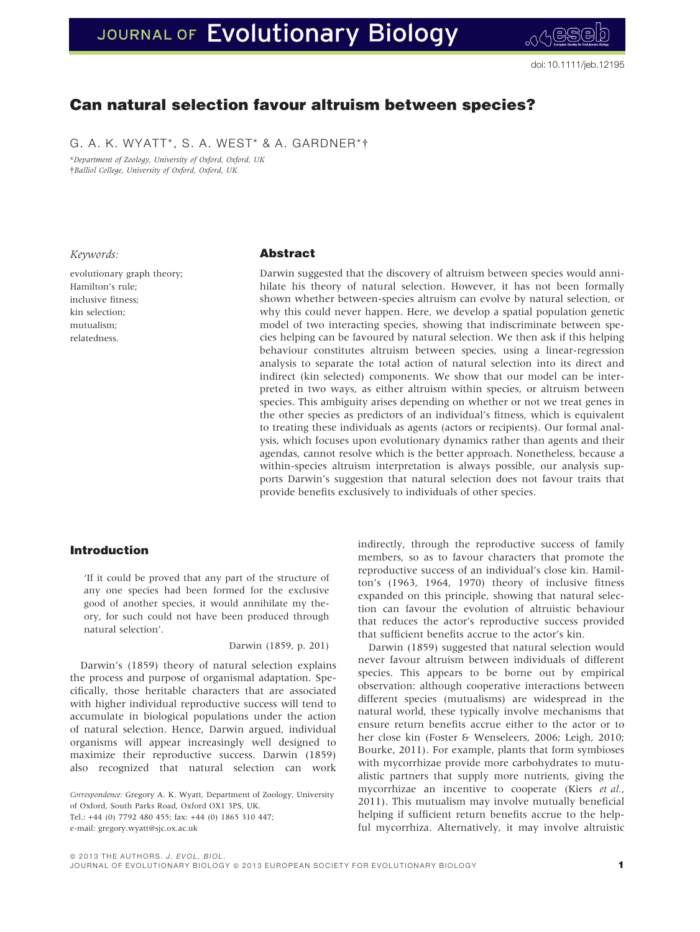# JOURNAL OF Evolutionary Biology

doi: 10.1111/jeb.12195

# Can natural selection favour altruism between species?

G. A. K. WYATT\*, S. A. WEST\* & A. GARDNER\*† \*Department of Zoology, University of Oxford, Oxford, UK

†Balliol College, University of Oxford, Oxford, UK

#### Keywords:

evolutionary graph theory; Hamilton's rule; inclusive fitness; kin selection; mutualism; relatedness.

## Abstract

Darwin suggested that the discovery of altruism between species would annihilate his theory of natural selection. However, it has not been formally shown whether between-species altruism can evolve by natural selection, or why this could never happen. Here, we develop a spatial population genetic model of two interacting species, showing that indiscriminate between species helping can be favoured by natural selection. We then ask if this helping behaviour constitutes altruism between species, using a linear-regression analysis to separate the total action of natural selection into its direct and indirect (kin selected) components. We show that our model can be interpreted in two ways, as either altruism within species, or altruism between species. This ambiguity arises depending on whether or not we treat genes in the other species as predictors of an individual's fitness, which is equivalent to treating these individuals as agents (actors or recipients). Our formal analysis, which focuses upon evolutionary dynamics rather than agents and their agendas, cannot resolve which is the better approach. Nonetheless, because a within-species altruism interpretation is always possible, our analysis supports Darwin's suggestion that natural selection does not favour traits that provide benefits exclusively to individuals of other species.

# Introduction

'If it could be proved that any part of the structure of any one species had been formed for the exclusive good of another species, it would annihilate my theory, for such could not have been produced through natural selection'.

Darwin (1859, p. 201)

Darwin's (1859) theory of natural selection explains the process and purpose of organismal adaptation. Specifically, those heritable characters that are associated with higher individual reproductive success will tend to accumulate in biological populations under the action of natural selection. Hence, Darwin argued, individual organisms will appear increasingly well designed to maximize their reproductive success. Darwin (1859) also recognized that natural selection can work

Correspondence: Gregory A. K. Wyatt, Department of Zoology, University of Oxford, South Parks Road, Oxford OX1 3PS, UK. Tel.: +44 (0) 7792 480 455; fax: +44 (0) 1865 310 447; e-mail: gregory.wyatt@sjc.ox.ac.uk

indirectly, through the reproductive success of family members, so as to favour characters that promote the reproductive success of an individual's close kin. Hamilton's (1963, 1964, 1970) theory of inclusive fitness expanded on this principle, showing that natural selection can favour the evolution of altruistic behaviour that reduces the actor's reproductive success provided that sufficient benefits accrue to the actor's kin.

Darwin (1859) suggested that natural selection would never favour altruism between individuals of different species. This appears to be borne out by empirical observation: although cooperative interactions between different species (mutualisms) are widespread in the natural world, these typically involve mechanisms that ensure return benefits accrue either to the actor or to her close kin (Foster & Wenseleers, 2006; Leigh, 2010; Bourke, 2011). For example, plants that form symbioses with mycorrhizae provide more carbohydrates to mutualistic partners that supply more nutrients, giving the mycorrhizae an incentive to cooperate (Kiers et al., 2011). This mutualism may involve mutually beneficial helping if sufficient return benefits accrue to the helpful mycorrhiza. Alternatively, it may involve altruistic

ª 2013 THE AUTHORS. J. EVOL. BIOL. JOURNAL OF EVOLUTIONARY BIOLOGY © 2013 EUROPEAN SOCIETY FOR EVOLUTIONARY BIOLOGY 1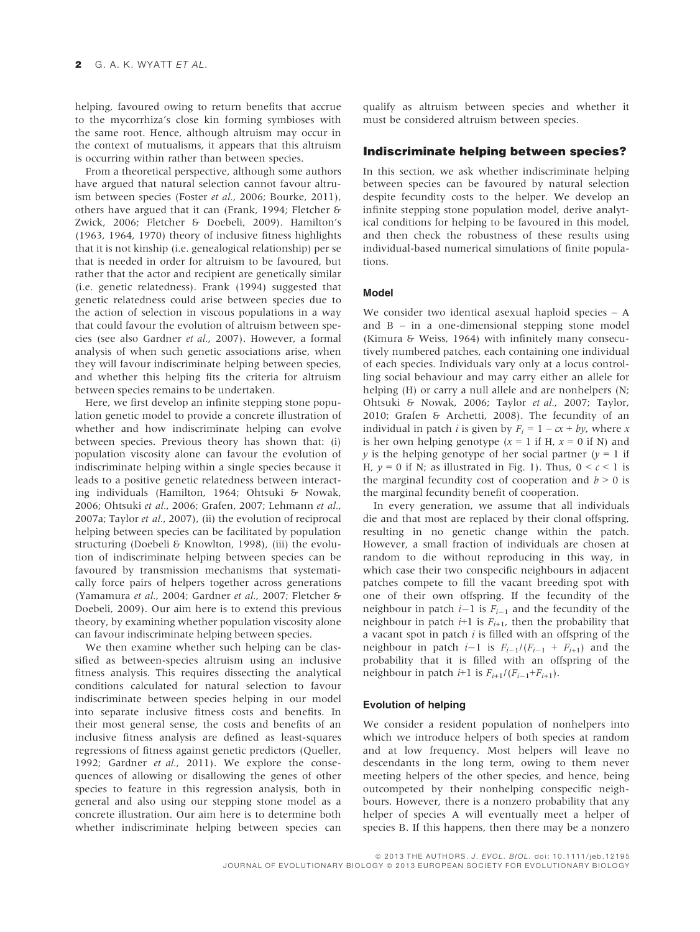helping, favoured owing to return benefits that accrue to the mycorrhiza's close kin forming symbioses with the same root. Hence, although altruism may occur in the context of mutualisms, it appears that this altruism is occurring within rather than between species.

From a theoretical perspective, although some authors have argued that natural selection cannot favour altruism between species (Foster et al., 2006; Bourke, 2011), others have argued that it can (Frank, 1994; Fletcher & Zwick, 2006; Fletcher & Doebeli, 2009). Hamilton's (1963, 1964, 1970) theory of inclusive fitness highlights that it is not kinship (i.e. genealogical relationship) per se that is needed in order for altruism to be favoured, but rather that the actor and recipient are genetically similar (i.e. genetic relatedness). Frank (1994) suggested that genetic relatedness could arise between species due to the action of selection in viscous populations in a way that could favour the evolution of altruism between species (see also Gardner et al., 2007). However, a formal analysis of when such genetic associations arise, when they will favour indiscriminate helping between species, and whether this helping fits the criteria for altruism between species remains to be undertaken.

Here, we first develop an infinite stepping stone population genetic model to provide a concrete illustration of whether and how indiscriminate helping can evolve between species. Previous theory has shown that: (i) population viscosity alone can favour the evolution of indiscriminate helping within a single species because it leads to a positive genetic relatedness between interacting individuals (Hamilton, 1964; Ohtsuki & Nowak, 2006; Ohtsuki et al., 2006; Grafen, 2007; Lehmann et al., 2007a; Taylor et al., 2007), (ii) the evolution of reciprocal helping between species can be facilitated by population structuring (Doebeli & Knowlton, 1998), (iii) the evolution of indiscriminate helping between species can be favoured by transmission mechanisms that systematically force pairs of helpers together across generations (Yamamura et al., 2004; Gardner et al., 2007; Fletcher & Doebeli, 2009). Our aim here is to extend this previous theory, by examining whether population viscosity alone can favour indiscriminate helping between species.

We then examine whether such helping can be classified as between-species altruism using an inclusive fitness analysis. This requires dissecting the analytical conditions calculated for natural selection to favour indiscriminate between species helping in our model into separate inclusive fitness costs and benefits. In their most general sense, the costs and benefits of an inclusive fitness analysis are defined as least-squares regressions of fitness against genetic predictors (Queller, 1992; Gardner et al., 2011). We explore the consequences of allowing or disallowing the genes of other species to feature in this regression analysis, both in general and also using our stepping stone model as a concrete illustration. Our aim here is to determine both whether indiscriminate helping between species can

qualify as altruism between species and whether it must be considered altruism between species.

#### Indiscriminate helping between species?

In this section, we ask whether indiscriminate helping between species can be favoured by natural selection despite fecundity costs to the helper. We develop an infinite stepping stone population model, derive analytical conditions for helping to be favoured in this model, and then check the robustness of these results using individual-based numerical simulations of finite populations.

#### Model

We consider two identical asexual haploid species – A and B – in a one-dimensional stepping stone model (Kimura & Weiss, 1964) with infinitely many consecutively numbered patches, each containing one individual of each species. Individuals vary only at a locus controlling social behaviour and may carry either an allele for helping (H) or carry a null allele and are nonhelpers (N; Ohtsuki & Nowak, 2006; Taylor et al., 2007; Taylor, 2010; Grafen & Archetti, 2008). The fecundity of an individual in patch *i* is given by  $F_i = 1 - cx + by$ , where x is her own helping genotype  $(x = 1$  if H,  $x = 0$  if N) and y is the helping genotype of her social partner ( $y = 1$  if H,  $y = 0$  if N; as illustrated in Fig. 1). Thus,  $0 \leq c \leq 1$  is the marginal fecundity cost of cooperation and  $b > 0$  is the marginal fecundity benefit of cooperation.

In every generation, we assume that all individuals die and that most are replaced by their clonal offspring, resulting in no genetic change within the patch. However, a small fraction of individuals are chosen at random to die without reproducing in this way, in which case their two conspecific neighbours in adjacent patches compete to fill the vacant breeding spot with one of their own offspring. If the fecundity of the neighbour in patch  $i-1$  is  $F_{i-1}$  and the fecundity of the neighbour in patch  $i+1$  is  $F_{i+1}$ , then the probability that a vacant spot in patch  $i$  is filled with an offspring of the neighbour in patch  $i-1$  is  $F_{i-1}/(F_{i-1} + F_{i+1})$  and the probability that it is filled with an offspring of the neighbour in patch  $i+1$  is  $F_{i+1}/(F_{i-1}+F_{i+1})$ .

#### Evolution of helping

We consider a resident population of nonhelpers into which we introduce helpers of both species at random and at low frequency. Most helpers will leave no descendants in the long term, owing to them never meeting helpers of the other species, and hence, being outcompeted by their nonhelping conspecific neighbours. However, there is a nonzero probability that any helper of species A will eventually meet a helper of species B. If this happens, then there may be a nonzero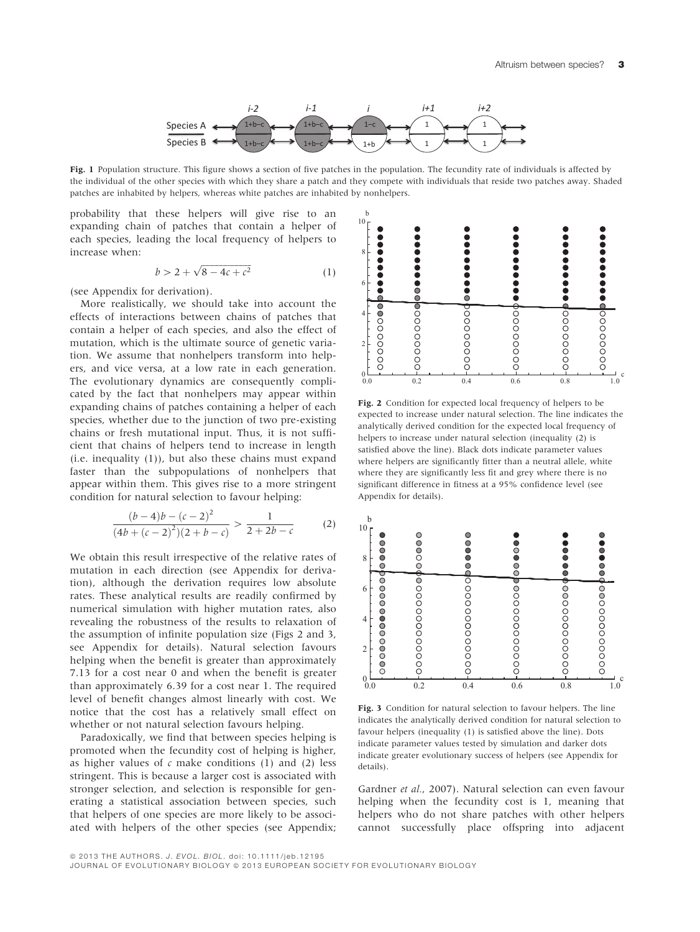

Fig. 1 Population structure. This figure shows a section of five patches in the population. The fecundity rate of individuals is affected by the individual of the other species with which they share a patch and they compete with individuals that reside two patches away. Shaded patches are inhabited by helpers, whereas white patches are inhabited by nonhelpers.

probability that these helpers will give rise to an expanding chain of patches that contain a helper of each species, leading the local frequency of helpers to increase when:

$$
b > 2 + \sqrt{8 - 4c + c^2} \tag{1}
$$

(see Appendix for derivation).

More realistically, we should take into account the effects of interactions between chains of patches that contain a helper of each species, and also the effect of mutation, which is the ultimate source of genetic variation. We assume that nonhelpers transform into helpers, and vice versa, at a low rate in each generation. The evolutionary dynamics are consequently complicated by the fact that nonhelpers may appear within expanding chains of patches containing a helper of each species, whether due to the junction of two pre-existing chains or fresh mutational input. Thus, it is not sufficient that chains of helpers tend to increase in length (i.e. inequality (1)), but also these chains must expand faster than the subpopulations of nonhelpers that appear within them. This gives rise to a more stringent condition for natural selection to favour helping:

$$
\frac{(b-4)b - (c-2)^2}{(4b + (c-2)^2)(2+b-c)} > \frac{1}{2+2b-c}
$$
 (2)

We obtain this result irrespective of the relative rates of mutation in each direction (see Appendix for derivation), although the derivation requires low absolute rates. These analytical results are readily confirmed by numerical simulation with higher mutation rates, also revealing the robustness of the results to relaxation of the assumption of infinite population size (Figs 2 and 3, see Appendix for details). Natural selection favours helping when the benefit is greater than approximately 7.13 for a cost near 0 and when the benefit is greater than approximately 6.39 for a cost near 1. The required level of benefit changes almost linearly with cost. We notice that the cost has a relatively small effect on whether or not natural selection favours helping.

Paradoxically, we find that between species helping is promoted when the fecundity cost of helping is higher, as higher values of  $c$  make conditions (1) and (2) less stringent. This is because a larger cost is associated with stronger selection, and selection is responsible for generating a statistical association between species, such that helpers of one species are more likely to be associated with helpers of the other species (see Appendix;



Fig. 2 Condition for expected local frequency of helpers to be expected to increase under natural selection. The line indicates the analytically derived condition for the expected local frequency of helpers to increase under natural selection (inequality (2) is satisfied above the line). Black dots indicate parameter values where helpers are significantly fitter than a neutral allele, white where they are significantly less fit and grey where there is no significant difference in fitness at a 95% confidence level (see Appendix for details).



Fig. 3 Condition for natural selection to favour helpers. The line indicates the analytically derived condition for natural selection to favour helpers (inequality (1) is satisfied above the line). Dots indicate parameter values tested by simulation and darker dots indicate greater evolutionary success of helpers (see Appendix for details).

Gardner et al., 2007). Natural selection can even favour helping when the fecundity cost is 1, meaning that helpers who do not share patches with other helpers cannot successfully place offspring into adjacent

© 2013 THE AUTHORS. J. EVOL. BIOL. doi: 10.1111/jeb.12195

JOURNAL OF EVOLUTIONARY BIOLOGY @ 2013 EUROPEAN SOCIETY FOR EVOLUTIONARY BIOLOGY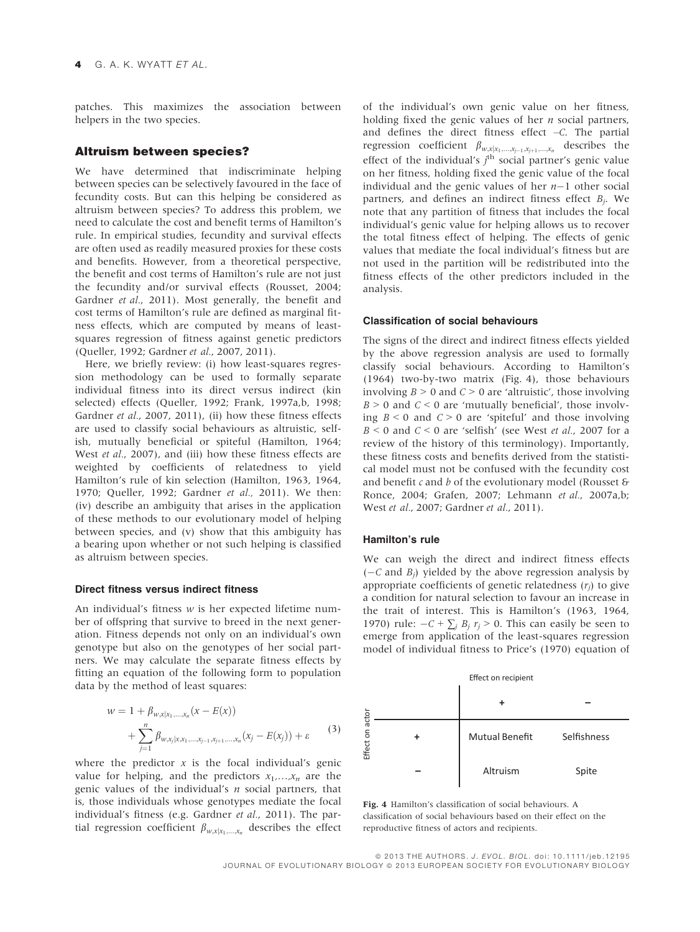patches. This maximizes the association between helpers in the two species.

#### Altruism between species?

We have determined that indiscriminate helping between species can be selectively favoured in the face of fecundity costs. But can this helping be considered as altruism between species? To address this problem, we need to calculate the cost and benefit terms of Hamilton's rule. In empirical studies, fecundity and survival effects are often used as readily measured proxies for these costs and benefits. However, from a theoretical perspective, the benefit and cost terms of Hamilton's rule are not just the fecundity and/or survival effects (Rousset, 2004; Gardner et al., 2011). Most generally, the benefit and cost terms of Hamilton's rule are defined as marginal fitness effects, which are computed by means of leastsquares regression of fitness against genetic predictors (Queller, 1992; Gardner et al., 2007, 2011).

Here, we briefly review: (i) how least-squares regression methodology can be used to formally separate individual fitness into its direct versus indirect (kin selected) effects (Queller, 1992; Frank, 1997a,b, 1998; Gardner et al., 2007, 2011), (ii) how these fitness effects are used to classify social behaviours as altruistic, selfish, mutually beneficial or spiteful (Hamilton, 1964; West et al., 2007), and (iii) how these fitness effects are weighted by coefficients of relatedness to yield Hamilton's rule of kin selection (Hamilton, 1963, 1964, 1970; Queller, 1992; Gardner et al., 2011). We then: (iv) describe an ambiguity that arises in the application of these methods to our evolutionary model of helping between species, and (v) show that this ambiguity has a bearing upon whether or not such helping is classified as altruism between species.

#### Direct fitness versus indirect fitness

An individual's fitness  $w$  is her expected lifetime number of offspring that survive to breed in the next generation. Fitness depends not only on an individual's own genotype but also on the genotypes of her social partners. We may calculate the separate fitness effects by fitting an equation of the following form to population data by the method of least squares:

$$
w = 1 + \beta_{w,x|x_1,...,x_n}(x - E(x))
$$
  
+ 
$$
\sum_{j=1}^{n} \beta_{w,x_j|x,x_1,...,x_{j-1},x_{j+1},...,x_n}(x_j - E(x_j)) + \varepsilon
$$
 (3)

where the predictor  $x$  is the focal individual's genic value for helping, and the predictors  $x_1,...,x_n$  are the genic values of the individual's  $n$  social partners, that is, those individuals whose genotypes mediate the focal individual's fitness (e.g. Gardner et al., 2011). The partial regression coefficient  $\beta_{w,x|x_1,...,x_n}$  describes the effect of the individual's own genic value on her fitness, holding fixed the genic values of her  $n$  social partners, and defines the direct fitness effect  $-C$ . The partial regression coefficient  $\beta_{w,x|x_1,...,x_{j-1},x_{j+1},...,x_n}$  describes the effect of the individual's  $j<sup>th</sup>$  social partner's genic value on her fitness, holding fixed the genic value of the focal individual and the genic values of her  $n-1$  other social partners, and defines an indirect fitness effect  $B_i$ . We note that any partition of fitness that includes the focal individual's genic value for helping allows us to recover the total fitness effect of helping. The effects of genic values that mediate the focal individual's fitness but are not used in the partition will be redistributed into the fitness effects of the other predictors included in the analysis.

#### Classification of social behaviours

The signs of the direct and indirect fitness effects yielded by the above regression analysis are used to formally classify social behaviours. According to Hamilton's (1964) two-by-two matrix (Fig. 4), those behaviours involving  $B > 0$  and  $C > 0$  are 'altruistic', those involving  $B > 0$  and  $C < 0$  are 'mutually beneficial', those involving  $B \le 0$  and  $C \ge 0$  are 'spiteful' and those involving  $B < 0$  and  $C < 0$  are 'selfish' (see West et al., 2007 for a review of the history of this terminology). Importantly, these fitness costs and benefits derived from the statistical model must not be confused with the fecundity cost and benefit  $c$  and  $b$  of the evolutionary model (Rousset  $\theta$ Ronce, 2004; Grafen, 2007; Lehmann et al., 2007a,b; West et al., 2007; Gardner et al., 2011).

#### Hamilton's rule

We can weigh the direct and indirect fitness effects  $(-C \text{ and } B_i)$  yielded by the above regression analysis by appropriate coefficients of genetic relatedness  $(r_i)$  to give a condition for natural selection to favour an increase in the trait of interest. This is Hamilton's (1963, 1964, 1970) rule:  $-C + \sum_j B_j r_j > 0$ . This can easily be seen to emerge from application of the least-squares regression model of individual fitness to Price's (1970) equation of



Fig. 4 Hamilton's classification of social behaviours. A classification of social behaviours based on their effect on the reproductive fitness of actors and recipients.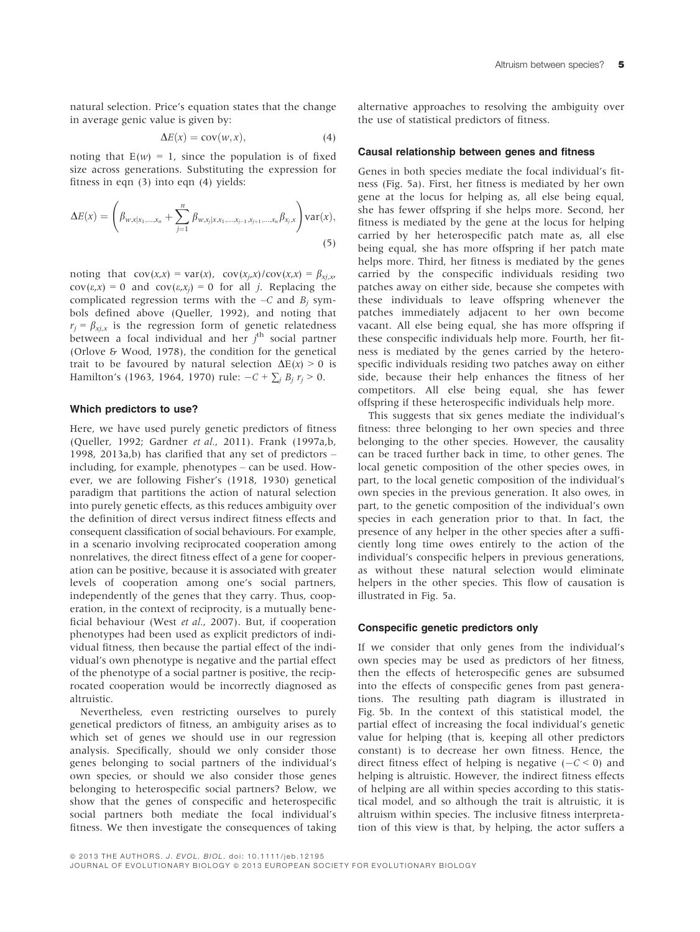natural selection. Price's equation states that the change in average genic value is given by:

$$
\Delta E(x) = \text{cov}(w, x),\tag{4}
$$

noting that  $E(w) = 1$ , since the population is of fixed size across generations. Substituting the expression for fitness in eqn (3) into eqn (4) yields:

$$
\Delta E(x) = \left(\beta_{w,x|x_1,...,x_n} + \sum_{j=1}^n \beta_{w,x_j|x,x_1,...,x_{j-1},x_{j+1},...,x_n} \beta_{x_j,x}\right) \text{var}(x),\tag{5}
$$

noting that  $cov(x,x) = var(x)$ ,  $cov(x_i,x)/cov(x,x) = \beta_{x_i,x_i}$  $cov(\varepsilon, x) = 0$  and  $cov(\varepsilon, x_i) = 0$  for all j. Replacing the complicated regression terms with the  $-C$  and  $B_i$  symbols defined above (Queller, 1992), and noting that  $r_i = \beta_{x_i,x}$  is the regression form of genetic relatedness between a focal individual and her  $j^{\text{th}}$  social partner (Orlove & Wood, 1978), the condition for the genetical trait to be favoured by natural selection  $\Delta E(x) > 0$  is Hamilton's (1963, 1964, 1970) rule:  $-C + \sum_i B_i r_i > 0$ .

#### Which predictors to use?

Here, we have used purely genetic predictors of fitness (Queller, 1992; Gardner et al., 2011). Frank (1997a,b, 1998, 2013a,b) has clarified that any set of predictors – including, for example, phenotypes – can be used. However, we are following Fisher's (1918, 1930) genetical paradigm that partitions the action of natural selection into purely genetic effects, as this reduces ambiguity over the definition of direct versus indirect fitness effects and consequent classification of social behaviours. For example, in a scenario involving reciprocated cooperation among nonrelatives, the direct fitness effect of a gene for cooperation can be positive, because it is associated with greater levels of cooperation among one's social partners, independently of the genes that they carry. Thus, cooperation, in the context of reciprocity, is a mutually beneficial behaviour (West et al., 2007). But, if cooperation phenotypes had been used as explicit predictors of individual fitness, then because the partial effect of the individual's own phenotype is negative and the partial effect of the phenotype of a social partner is positive, the reciprocated cooperation would be incorrectly diagnosed as altruistic.

Nevertheless, even restricting ourselves to purely genetical predictors of fitness, an ambiguity arises as to which set of genes we should use in our regression analysis. Specifically, should we only consider those genes belonging to social partners of the individual's own species, or should we also consider those genes belonging to heterospecific social partners? Below, we show that the genes of conspecific and heterospecific social partners both mediate the focal individual's fitness. We then investigate the consequences of taking alternative approaches to resolving the ambiguity over the use of statistical predictors of fitness.

#### Causal relationship between genes and fitness

Genes in both species mediate the focal individual's fitness (Fig. 5a). First, her fitness is mediated by her own gene at the locus for helping as, all else being equal, she has fewer offspring if she helps more. Second, her fitness is mediated by the gene at the locus for helping carried by her heterospecific patch mate as, all else being equal, she has more offspring if her patch mate helps more. Third, her fitness is mediated by the genes carried by the conspecific individuals residing two patches away on either side, because she competes with these individuals to leave offspring whenever the patches immediately adjacent to her own become vacant. All else being equal, she has more offspring if these conspecific individuals help more. Fourth, her fitness is mediated by the genes carried by the heterospecific individuals residing two patches away on either side, because their help enhances the fitness of her competitors. All else being equal, she has fewer offspring if these heterospecific individuals help more.

This suggests that six genes mediate the individual's fitness: three belonging to her own species and three belonging to the other species. However, the causality can be traced further back in time, to other genes. The local genetic composition of the other species owes, in part, to the local genetic composition of the individual's own species in the previous generation. It also owes, in part, to the genetic composition of the individual's own species in each generation prior to that. In fact, the presence of any helper in the other species after a sufficiently long time owes entirely to the action of the individual's conspecific helpers in previous generations, as without these natural selection would eliminate helpers in the other species. This flow of causation is illustrated in Fig. 5a.

#### Conspecific genetic predictors only

If we consider that only genes from the individual's own species may be used as predictors of her fitness, then the effects of heterospecific genes are subsumed into the effects of conspecific genes from past generations. The resulting path diagram is illustrated in Fig. 5b. In the context of this statistical model, the partial effect of increasing the focal individual's genetic value for helping (that is, keeping all other predictors constant) is to decrease her own fitness. Hence, the direct fitness effect of helping is negative  $(-C < 0)$  and helping is altruistic. However, the indirect fitness effects of helping are all within species according to this statistical model, and so although the trait is altruistic, it is altruism within species. The inclusive fitness interpretation of this view is that, by helping, the actor suffers a

© 2013 THE AUTHORS. J. EVOL. BIOL. doi: 10.1111/jeb.12195

JOURNAL OF EVOLUTIONARY BIOLOGY @ 2013 EUROPEAN SOCIETY FOR EVOLUTIONARY BIOLOGY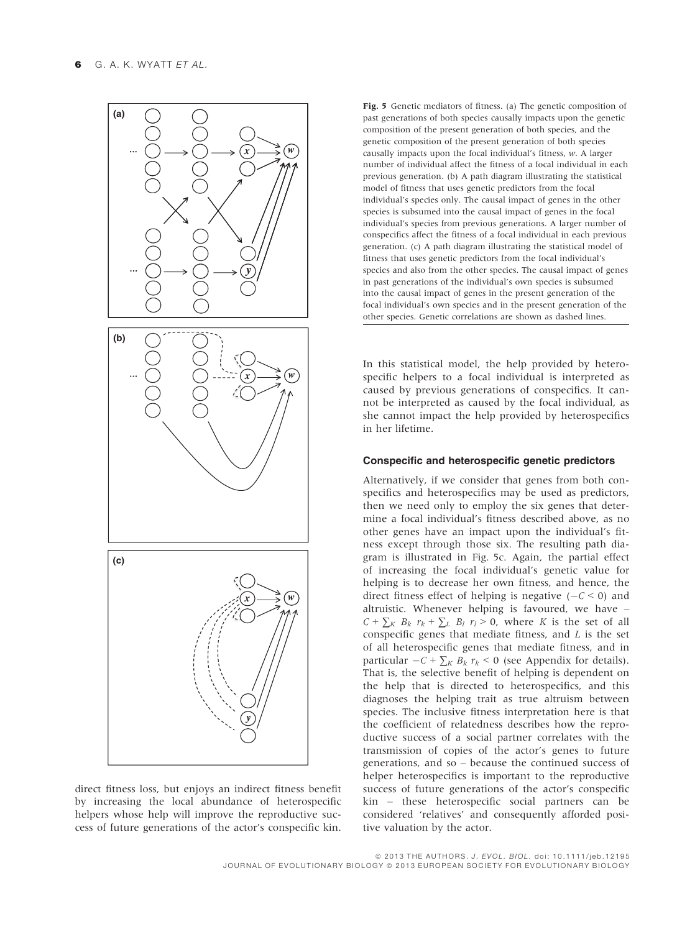

direct fitness loss, but enjoys an indirect fitness benefit by increasing the local abundance of heterospecific helpers whose help will improve the reproductive success of future generations of the actor's conspecific kin.

Fig. 5 Genetic mediators of fitness. (a) The genetic composition of past generations of both species causally impacts upon the genetic composition of the present generation of both species, and the genetic composition of the present generation of both species causally impacts upon the focal individual's fitness, w. A larger number of individual affect the fitness of a focal individual in each previous generation. (b) A path diagram illustrating the statistical model of fitness that uses genetic predictors from the focal individual's species only. The causal impact of genes in the other species is subsumed into the causal impact of genes in the focal individual's species from previous generations. A larger number of conspecifics affect the fitness of a focal individual in each previous generation. (c) A path diagram illustrating the statistical model of fitness that uses genetic predictors from the focal individual's species and also from the other species. The causal impact of genes in past generations of the individual's own species is subsumed into the causal impact of genes in the present generation of the focal individual's own species and in the present generation of the other species. Genetic correlations are shown as dashed lines.

In this statistical model, the help provided by heterospecific helpers to a focal individual is interpreted as caused by previous generations of conspecifics. It cannot be interpreted as caused by the focal individual, as she cannot impact the help provided by heterospecifics in her lifetime.

#### Conspecific and heterospecific genetic predictors

Alternatively, if we consider that genes from both conspecifics and heterospecifics may be used as predictors, then we need only to employ the six genes that determine a focal individual's fitness described above, as no other genes have an impact upon the individual's fitness except through those six. The resulting path diagram is illustrated in Fig. 5c. Again, the partial effect of increasing the focal individual's genetic value for helping is to decrease her own fitness, and hence, the direct fitness effect of helping is negative  $(-C < 0)$  and altruistic. Whenever helping is favoured, we have –  $C + \sum_{K} B_{k} r_{k} + \sum_{L} B_{l} r_{l} > 0$ , where K is the set of all conspecific genes that mediate fitness, and  $L$  is the set of all heterospecific genes that mediate fitness, and in particular  $-C + \sum_{k} B_k r_k < 0$  (see Appendix for details). That is, the selective benefit of helping is dependent on the help that is directed to heterospecifics, and this diagnoses the helping trait as true altruism between species. The inclusive fitness interpretation here is that the coefficient of relatedness describes how the reproductive success of a social partner correlates with the transmission of copies of the actor's genes to future generations, and so – because the continued success of helper heterospecifics is important to the reproductive success of future generations of the actor's conspecific kin – these heterospecific social partners can be considered 'relatives' and consequently afforded positive valuation by the actor.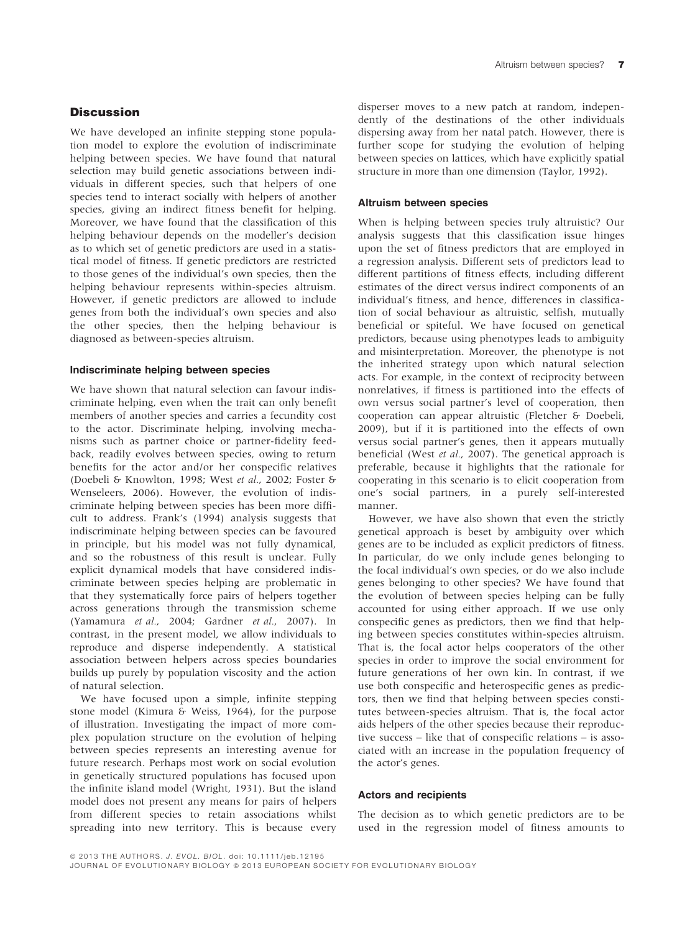# Discussion

We have developed an infinite stepping stone population model to explore the evolution of indiscriminate helping between species. We have found that natural selection may build genetic associations between individuals in different species, such that helpers of one species tend to interact socially with helpers of another species, giving an indirect fitness benefit for helping. Moreover, we have found that the classification of this helping behaviour depends on the modeller's decision as to which set of genetic predictors are used in a statistical model of fitness. If genetic predictors are restricted to those genes of the individual's own species, then the helping behaviour represents within-species altruism. However, if genetic predictors are allowed to include genes from both the individual's own species and also the other species, then the helping behaviour is diagnosed as between-species altruism.

#### Indiscriminate helping between species

We have shown that natural selection can favour indiscriminate helping, even when the trait can only benefit members of another species and carries a fecundity cost to the actor. Discriminate helping, involving mechanisms such as partner choice or partner-fidelity feedback, readily evolves between species, owing to return benefits for the actor and/or her conspecific relatives (Doebeli & Knowlton, 1998; West et al., 2002; Foster & Wenseleers, 2006). However, the evolution of indiscriminate helping between species has been more difficult to address. Frank's (1994) analysis suggests that indiscriminate helping between species can be favoured in principle, but his model was not fully dynamical, and so the robustness of this result is unclear. Fully explicit dynamical models that have considered indiscriminate between species helping are problematic in that they systematically force pairs of helpers together across generations through the transmission scheme (Yamamura et al., 2004; Gardner et al., 2007). In contrast, in the present model, we allow individuals to reproduce and disperse independently. A statistical association between helpers across species boundaries builds up purely by population viscosity and the action of natural selection.

We have focused upon a simple, infinite stepping stone model (Kimura & Weiss, 1964), for the purpose of illustration. Investigating the impact of more complex population structure on the evolution of helping between species represents an interesting avenue for future research. Perhaps most work on social evolution in genetically structured populations has focused upon the infinite island model (Wright, 1931). But the island model does not present any means for pairs of helpers from different species to retain associations whilst spreading into new territory. This is because every

disperser moves to a new patch at random, independently of the destinations of the other individuals dispersing away from her natal patch. However, there is further scope for studying the evolution of helping between species on lattices, which have explicitly spatial structure in more than one dimension (Taylor, 1992).

#### Altruism between species

When is helping between species truly altruistic? Our analysis suggests that this classification issue hinges upon the set of fitness predictors that are employed in a regression analysis. Different sets of predictors lead to different partitions of fitness effects, including different estimates of the direct versus indirect components of an individual's fitness, and hence, differences in classification of social behaviour as altruistic, selfish, mutually beneficial or spiteful. We have focused on genetical predictors, because using phenotypes leads to ambiguity and misinterpretation. Moreover, the phenotype is not the inherited strategy upon which natural selection acts. For example, in the context of reciprocity between nonrelatives, if fitness is partitioned into the effects of own versus social partner's level of cooperation, then cooperation can appear altruistic (Fletcher & Doebeli, 2009), but if it is partitioned into the effects of own versus social partner's genes, then it appears mutually beneficial (West et al., 2007). The genetical approach is preferable, because it highlights that the rationale for cooperating in this scenario is to elicit cooperation from one's social partners, in a purely self-interested manner.

However, we have also shown that even the strictly genetical approach is beset by ambiguity over which genes are to be included as explicit predictors of fitness. In particular, do we only include genes belonging to the focal individual's own species, or do we also include genes belonging to other species? We have found that the evolution of between species helping can be fully accounted for using either approach. If we use only conspecific genes as predictors, then we find that helping between species constitutes within-species altruism. That is, the focal actor helps cooperators of the other species in order to improve the social environment for future generations of her own kin. In contrast, if we use both conspecific and heterospecific genes as predictors, then we find that helping between species constitutes between-species altruism. That is, the focal actor aids helpers of the other species because their reproductive success – like that of conspecific relations – is associated with an increase in the population frequency of the actor's genes.

#### Actors and recipients

The decision as to which genetic predictors are to be used in the regression model of fitness amounts to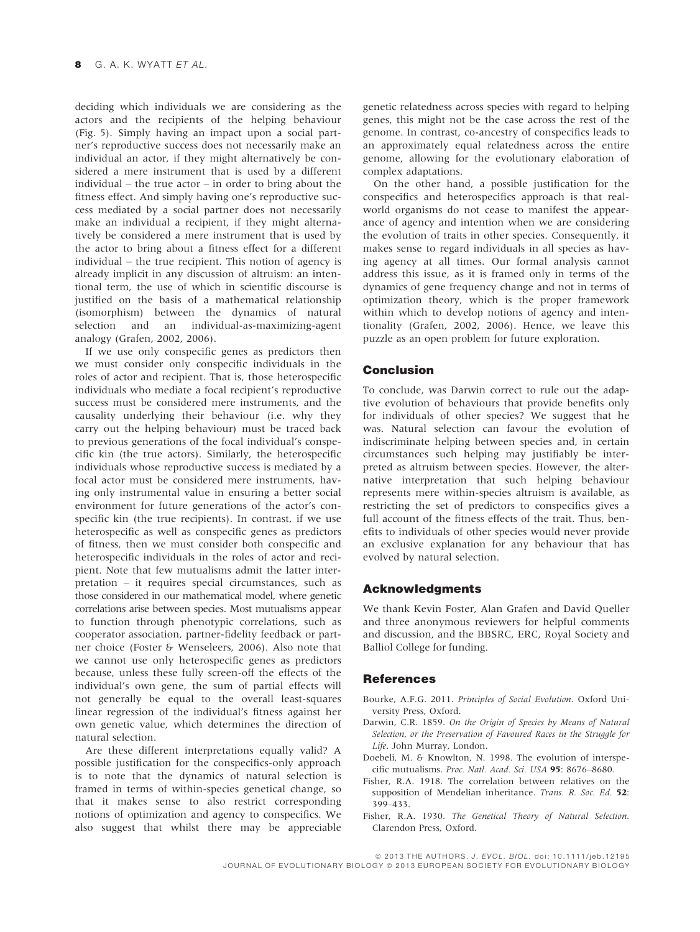deciding which individuals we are considering as the actors and the recipients of the helping behaviour (Fig. 5). Simply having an impact upon a social partner's reproductive success does not necessarily make an individual an actor, if they might alternatively be considered a mere instrument that is used by a different individual – the true actor – in order to bring about the fitness effect. And simply having one's reproductive success mediated by a social partner does not necessarily make an individual a recipient, if they might alternatively be considered a mere instrument that is used by the actor to bring about a fitness effect for a different individual – the true recipient. This notion of agency is already implicit in any discussion of altruism: an intentional term, the use of which in scientific discourse is justified on the basis of a mathematical relationship (isomorphism) between the dynamics of natural selection and an individual-as-maximizing-agent analogy (Grafen, 2002, 2006).

If we use only conspecific genes as predictors then we must consider only conspecific individuals in the roles of actor and recipient. That is, those heterospecific individuals who mediate a focal recipient's reproductive success must be considered mere instruments, and the causality underlying their behaviour (i.e. why they carry out the helping behaviour) must be traced back to previous generations of the focal individual's conspecific kin (the true actors). Similarly, the heterospecific individuals whose reproductive success is mediated by a focal actor must be considered mere instruments, having only instrumental value in ensuring a better social environment for future generations of the actor's conspecific kin (the true recipients). In contrast, if we use heterospecific as well as conspecific genes as predictors of fitness, then we must consider both conspecific and heterospecific individuals in the roles of actor and recipient. Note that few mutualisms admit the latter interpretation – it requires special circumstances, such as those considered in our mathematical model, where genetic correlations arise between species. Most mutualisms appear to function through phenotypic correlations, such as cooperator association, partner-fidelity feedback or partner choice (Foster & Wenseleers, 2006). Also note that we cannot use only heterospecific genes as predictors because, unless these fully screen-off the effects of the individual's own gene, the sum of partial effects will not generally be equal to the overall least-squares linear regression of the individual's fitness against her own genetic value, which determines the direction of natural selection.

Are these different interpretations equally valid? A possible justification for the conspecifics-only approach is to note that the dynamics of natural selection is framed in terms of within-species genetical change, so that it makes sense to also restrict corresponding notions of optimization and agency to conspecifics. We also suggest that whilst there may be appreciable

genetic relatedness across species with regard to helping genes, this might not be the case across the rest of the genome. In contrast, co-ancestry of conspecifics leads to an approximately equal relatedness across the entire genome, allowing for the evolutionary elaboration of complex adaptations.

On the other hand, a possible justification for the conspecifics and heterospecifics approach is that realworld organisms do not cease to manifest the appearance of agency and intention when we are considering the evolution of traits in other species. Consequently, it makes sense to regard individuals in all species as having agency at all times. Our formal analysis cannot address this issue, as it is framed only in terms of the dynamics of gene frequency change and not in terms of optimization theory, which is the proper framework within which to develop notions of agency and intentionality (Grafen, 2002, 2006). Hence, we leave this puzzle as an open problem for future exploration.

# Conclusion

To conclude, was Darwin correct to rule out the adaptive evolution of behaviours that provide benefits only for individuals of other species? We suggest that he was. Natural selection can favour the evolution of indiscriminate helping between species and, in certain circumstances such helping may justifiably be interpreted as altruism between species. However, the alternative interpretation that such helping behaviour represents mere within-species altruism is available, as restricting the set of predictors to conspecifics gives a full account of the fitness effects of the trait. Thus, benefits to individuals of other species would never provide an exclusive explanation for any behaviour that has evolved by natural selection.

#### Acknowledgments

We thank Kevin Foster, Alan Grafen and David Queller and three anonymous reviewers for helpful comments and discussion, and the BBSRC, ERC, Royal Society and Balliol College for funding.

#### References

- Bourke, A.F.G. 2011. Principles of Social Evolution. Oxford University Press, Oxford.
- Darwin, C.R. 1859. On the Origin of Species by Means of Natural Selection, or the Preservation of Favoured Races in the Struggle for Life. John Murray, London.
- Doebeli, M. & Knowlton, N. 1998. The evolution of interspecific mutualisms. Proc. Natl. Acad. Sci. USA 95: 8676–8680.
- Fisher, R.A. 1918. The correlation between relatives on the supposition of Mendelian inheritance. Trans. R. Soc. Ed. 52: 399–433.
- Fisher, R.A. 1930. The Genetical Theory of Natural Selection. Clarendon Press, Oxford.

© 2013 THE AUTHORS. J. EVOL. BIOL. doi: 10.1111/jeb.12195 JOURNAL OF EVOLUTIONARY BIOLOGY © 2013 EUROPEAN SOCIETY FOR EVOLUTIONARY BIOLOGY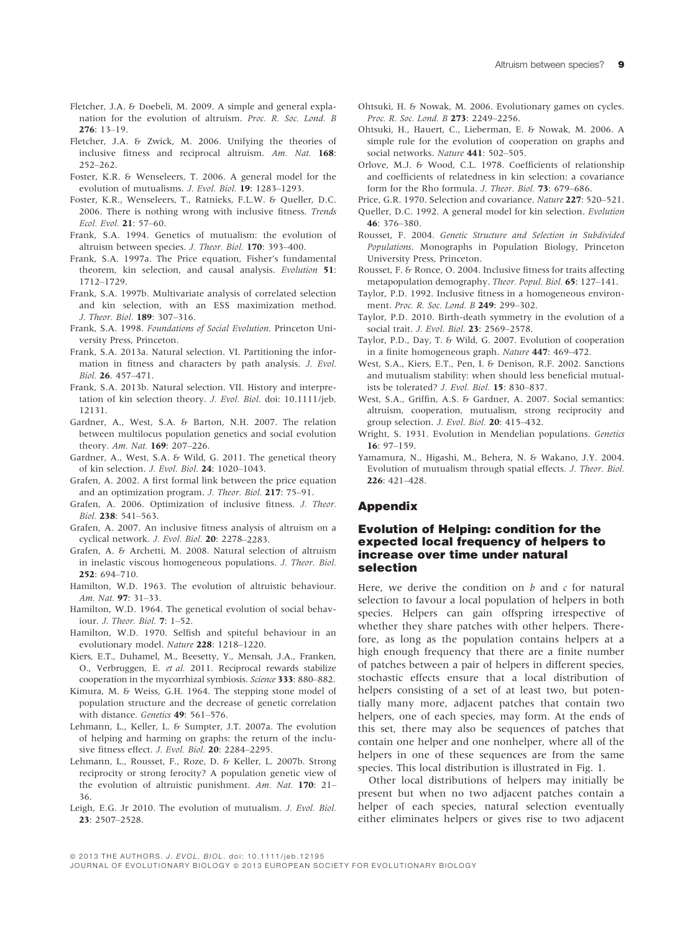- Fletcher, J.A. & Doebeli, M. 2009. A simple and general explanation for the evolution of altruism. Proc. R. Soc. Lond. B 276: 13–19.
- Fletcher, J.A. & Zwick, M. 2006. Unifying the theories of inclusive fitness and reciprocal altruism. Am. Nat. 168: 252–262.
- Foster, K.R. & Wenseleers, T. 2006. A general model for the evolution of mutualisms. J. Evol. Biol. 19: 1283–1293.
- Foster, K.R., Wenseleers, T., Ratnieks, F.L.W. & Queller, D.C. 2006. There is nothing wrong with inclusive fitness. Trends Ecol. Evol. 21: 57–60.
- Frank, S.A. 1994. Genetics of mutualism: the evolution of altruism between species. J. Theor. Biol. 170: 393–400.
- Frank, S.A. 1997a. The Price equation, Fisher's fundamental theorem, kin selection, and causal analysis. Evolution 51: 1712–1729.
- Frank, S.A. 1997b. Multivariate analysis of correlated selection and kin selection, with an ESS maximization method. J. Theor. Biol. 189: 307–316.
- Frank, S.A. 1998. Foundations of Social Evolution. Princeton University Press, Princeton.
- Frank, S.A. 2013a. Natural selection. VI. Partitioning the information in fitness and characters by path analysis. J. Evol. Biol. 26. 457–471.
- Frank, S.A. 2013b. Natural selection. VII. History and interpretation of kin selection theory. J. Evol. Biol. doi: 10.1111/jeb. 12131.
- Gardner, A., West, S.A. & Barton, N.H. 2007. The relation between multilocus population genetics and social evolution theory. Am. Nat. 169: 207–226.
- Gardner, A., West, S.A. & Wild, G. 2011. The genetical theory of kin selection. J. Evol. Biol. 24: 1020–1043.
- Grafen, A. 2002. A first formal link between the price equation and an optimization program. J. Theor. Biol. 217: 75–91.
- Grafen, A. 2006. Optimization of inclusive fitness. J. Theor. Biol. 238: 541–563.
- Grafen, A. 2007. An inclusive fitness analysis of altruism on a cyclical network. J. Evol. Biol. <sup>20</sup>: 2278–2283.
- Grafen, A. & Archetti, M. 2008. Natural selection of altruism in inelastic viscous homogeneous populations. J. Theor. Biol. 252: 694–710.
- Hamilton, W.D. 1963. The evolution of altruistic behaviour. Am. Nat. 97: 31–33.
- Hamilton, W.D. 1964. The genetical evolution of social behaviour. J. Theor. Biol. 7: 1–52.
- Hamilton, W.D. 1970. Selfish and spiteful behaviour in an evolutionary model. Nature 228: 1218–1220.
- Kiers, E.T., Duhamel, M., Beesetty, Y., Mensah, J.A., Franken, O., Verbruggen, E. et al. 2011. Reciprocal rewards stabilize cooperation in the mycorrhizal symbiosis. Science 333: 880–882.
- Kimura, M. & Weiss, G.H. 1964. The stepping stone model of population structure and the decrease of genetic correlation with distance. Genetics 49: 561-576.
- Lehmann, L., Keller, L. & Sumpter, J.T. 2007a. The evolution of helping and harming on graphs: the return of the inclusive fitness effect. J. Evol. Biol. 20: 2284–2295.
- Lehmann, L., Rousset, F., Roze, D. & Keller, L. 2007b. Strong reciprocity or strong ferocity? A population genetic view of the evolution of altruistic punishment. Am. Nat. 170: 21– 36.
- Leigh, E.G. Jr 2010. The evolution of mutualism. J. Evol. Biol. 23: 2507–2528.
- Ohtsuki, H. & Nowak, M. 2006. Evolutionary games on cycles. Proc. R. Soc. Lond. B 273: 2249-2256.
- Ohtsuki, H., Hauert, C., Lieberman, E. & Nowak, M. 2006. A simple rule for the evolution of cooperation on graphs and social networks. Nature 441: 502–505.
- Orlove, M.J. & Wood, C.L. 1978. Coefficients of relationship and coefficients of relatedness in kin selection: a covariance form for the Rho formula. J. Theor. Biol. 73: 679–686.
- Price, G.R. 1970. Selection and covariance. Nature 227: 520–521.
- Queller, D.C. 1992. A general model for kin selection. Evolution 46: 376–380.
- Rousset, F. 2004. Genetic Structure and Selection in Subdivided Populations. Monographs in Population Biology, Princeton University Press, Princeton.
- Rousset, F. & Ronce, O. 2004. Inclusive fitness for traits affecting metapopulation demography. Theor. Popul. Biol. 65: 127–141.
- Taylor, P.D. 1992. Inclusive fitness in a homogeneous environment. Proc. R. Soc. Lond. B 249: 299–302.
- Taylor, P.D. 2010. Birth-death symmetry in the evolution of a social trait. J. Evol. Biol. 23: 2569–2578.
- Taylor, P.D., Day, T. & Wild, G. 2007. Evolution of cooperation in a finite homogeneous graph. Nature 447: 469–472.
- West, S.A., Kiers, E.T., Pen, I. & Denison, R.F. 2002. Sanctions and mutualism stability: when should less beneficial mutualists be tolerated? J. Evol. Biol. 15: 830–837.
- West, S.A., Griffin, A.S. & Gardner, A. 2007. Social semantics: altruism, cooperation, mutualism, strong reciprocity and group selection. J. Evol. Biol. 20: 415–432.
- Wright, S. 1931. Evolution in Mendelian populations. Genetics 16: 97–159. Yamamura, N., Higashi, M., Behera, N. & Wakano, J.Y. 2004.
- Evolution of mutualism through spatial effects. J. Theor. Biol. 226: 421–428.

#### Appendix

# Evolution of Helping: condition for the expected local frequency of helpers to increase over time under natural selection

Here, we derive the condition on  $b$  and  $c$  for natural selection to favour a local population of helpers in both species. Helpers can gain offspring irrespective of whether they share patches with other helpers. Therefore, as long as the population contains helpers at a high enough frequency that there are a finite number of patches between a pair of helpers in different species, stochastic effects ensure that a local distribution of helpers consisting of a set of at least two, but potentially many more, adjacent patches that contain two helpers, one of each species, may form. At the ends of this set, there may also be sequences of patches that contain one helper and one nonhelper, where all of the helpers in one of these sequences are from the same species. This local distribution is illustrated in Fig. 1.

Other local distributions of helpers may initially be present but when no two adjacent patches contain a helper of each species, natural selection eventually either eliminates helpers or gives rise to two adjacent

<sup>© 2013</sup> THE AUTHORS. J. EVOL. BIOL. doi: 10.1111/jeb.12195

JOURNAL OF EVOLUTIONARY BIOLOGY @ 2013 EUROPEAN SOCIETY FOR EVOLUTIONARY BIOLOGY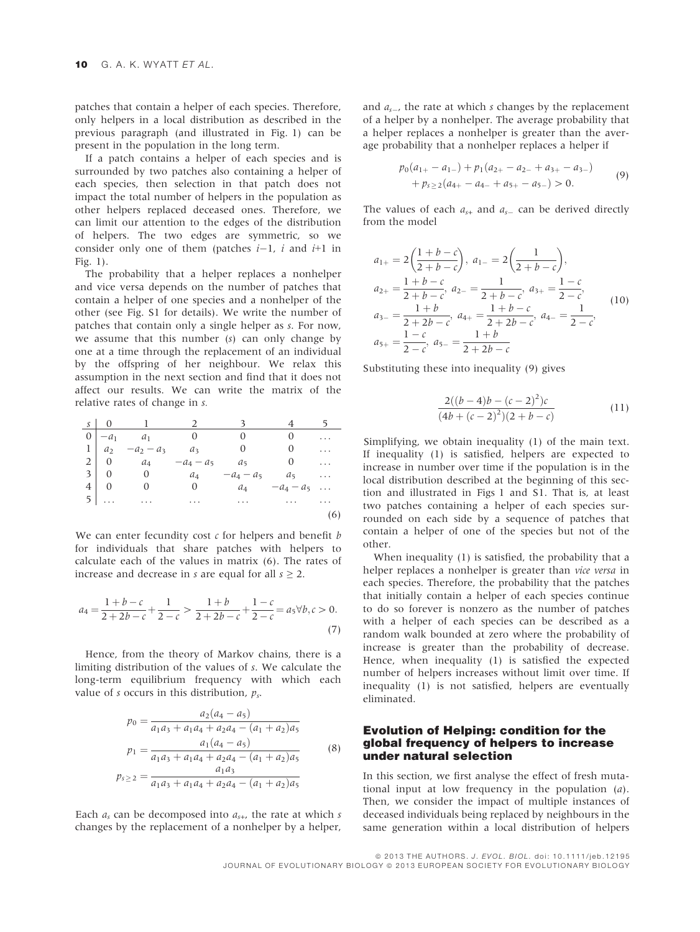patches that contain a helper of each species. Therefore, only helpers in a local distribution as described in the previous paragraph (and illustrated in Fig. 1) can be present in the population in the long term.

If a patch contains a helper of each species and is surrounded by two patches also containing a helper of each species, then selection in that patch does not impact the total number of helpers in the population as other helpers replaced deceased ones. Therefore, we can limit our attention to the edges of the distribution of helpers. The two edges are symmetric, so we consider only one of them (patches  $i-1$ , i and  $i+1$  in Fig. 1).

The probability that a helper replaces a nonhelper and vice versa depends on the number of patches that contain a helper of one species and a nonhelper of the other (see Fig. S1 for details). We write the number of patches that contain only a single helper as s. For now, we assume that this number  $(s)$  can only change by one at a time through the replacement of an individual by the offspring of her neighbour. We relax this assumption in the next section and find that it does not affect our results. We can write the matrix of the relative rates of change in s.

|                | $s \mid 0$                                           |                |                | 3              |            |          |
|----------------|------------------------------------------------------|----------------|----------------|----------------|------------|----------|
| $\overline{0}$ | $- a_1$                                              | $a_1$          | $\sim 0$       |                | 0          | .        |
|                | $1 \mid a_2$                                         | $-a_2 - a_3$   | $a_3$          | $\Omega$       | 0          | .        |
|                | $2 \mid 0$                                           | $a_4$          | $-a_4 - a_5$   | a <sub>5</sub> | 0          | .        |
|                | $\begin{bmatrix} 3 & 0 \\ 0 & 0 \end{bmatrix}$       | $\overline{0}$ | $a_4$          | $-a_4 - a_5$   | $a_5$      | $\cdots$ |
| 4 <sup>1</sup> | $\begin{array}{\begin{array}{\small 0} \end{array}}$ | $\mathbf{0}$   | $\overline{0}$ | $a_4$          | $-a_4-a_5$ |          |
|                | $5 \dots$                                            | $\sim$         | $\cdots$       | $\cdots$       | .          | .        |
|                |                                                      |                |                |                |            | (6)      |

We can enter fecundity cost  $c$  for helpers and benefit  $b$ for individuals that share patches with helpers to calculate each of the values in matrix (6). The rates of increase and decrease in *s* are equal for all  $s \geq 2$ .

$$
a_4 = \frac{1+b-c}{2+2b-c} + \frac{1}{2-c} > \frac{1+b}{2+2b-c} + \frac{1-c}{2-c} = a_5 \forall b, c > 0.
$$
\n(7)

Hence, from the theory of Markov chains, there is a limiting distribution of the values of s. We calculate the long-term equilibrium frequency with which each value of s occurs in this distribution,  $p_s$ .

$$
p_0 = \frac{a_2(a_4 - a_5)}{a_1a_3 + a_1a_4 + a_2a_4 - (a_1 + a_2)a_5}
$$
  
\n
$$
p_1 = \frac{a_1(a_4 - a_5)}{a_1a_3 + a_1a_4 + a_2a_4 - (a_1 + a_2)a_5}
$$
  
\n
$$
p_{s \ge 2} = \frac{a_1a_3}{a_1a_3 + a_1a_4 + a_2a_4 - (a_1 + a_2)a_5}
$$
 (8)

Each  $a_s$  can be decomposed into  $a_{s+}$ , the rate at which s changes by the replacement of a nonhelper by a helper, and  $a_{s-}$ , the rate at which s changes by the replacement of a helper by a nonhelper. The average probability that a helper replaces a nonhelper is greater than the average probability that a nonhelper replaces a helper if

$$
p_0(a_{1+} - a_{1-}) + p_1(a_{2+} - a_{2-} + a_{3+} - a_{3-})
$$
  
+ 
$$
p_{s \ge 2}(a_{4+} - a_{4-} + a_{5+} - a_{5-}) > 0.
$$
 (9)

The values of each  $a_{s+}$  and  $a_{s-}$  can be derived directly from the model

$$
a_{1+} = 2\left(\frac{1+b-c}{2+b-c}\right), a_{1-} = 2\left(\frac{1}{2+b-c}\right),
$$
  
\n
$$
a_{2+} = \frac{1+b-c}{2+b-c}, a_{2-} = \frac{1}{2+b-c}, a_{3+} = \frac{1-c}{2-c},
$$
  
\n
$$
a_{3-} = \frac{1+b}{2+2b-c}, a_{4+} = \frac{1+b-c}{2+2b-c}, a_{4-} = \frac{1}{2-c},
$$
  
\n
$$
a_{5+} = \frac{1-c}{2-c}, a_{5-} = \frac{1+b}{2+2b-c}
$$
  
\n(10)

Substituting these into inequality (9) gives

$$
\frac{2((b-4)b - (c-2)^2)c}{(4b + (c-2)^2)(2+b-c)}
$$
(11)

Simplifying, we obtain inequality (1) of the main text. If inequality (1) is satisfied, helpers are expected to increase in number over time if the population is in the local distribution described at the beginning of this section and illustrated in Figs 1 and S1. That is, at least two patches containing a helper of each species surrounded on each side by a sequence of patches that contain a helper of one of the species but not of the other.

When inequality (1) is satisfied, the probability that a helper replaces a nonhelper is greater than vice versa in each species. Therefore, the probability that the patches that initially contain a helper of each species continue to do so forever is nonzero as the number of patches with a helper of each species can be described as a random walk bounded at zero where the probability of increase is greater than the probability of decrease. Hence, when inequality (1) is satisfied the expected number of helpers increases without limit over time. If inequality (1) is not satisfied, helpers are eventually eliminated.

# Evolution of Helping: condition for the global frequency of helpers to increase under natural selection

In this section, we first analyse the effect of fresh mutational input at low frequency in the population (a). Then, we consider the impact of multiple instances of deceased individuals being replaced by neighbours in the same generation within a local distribution of helpers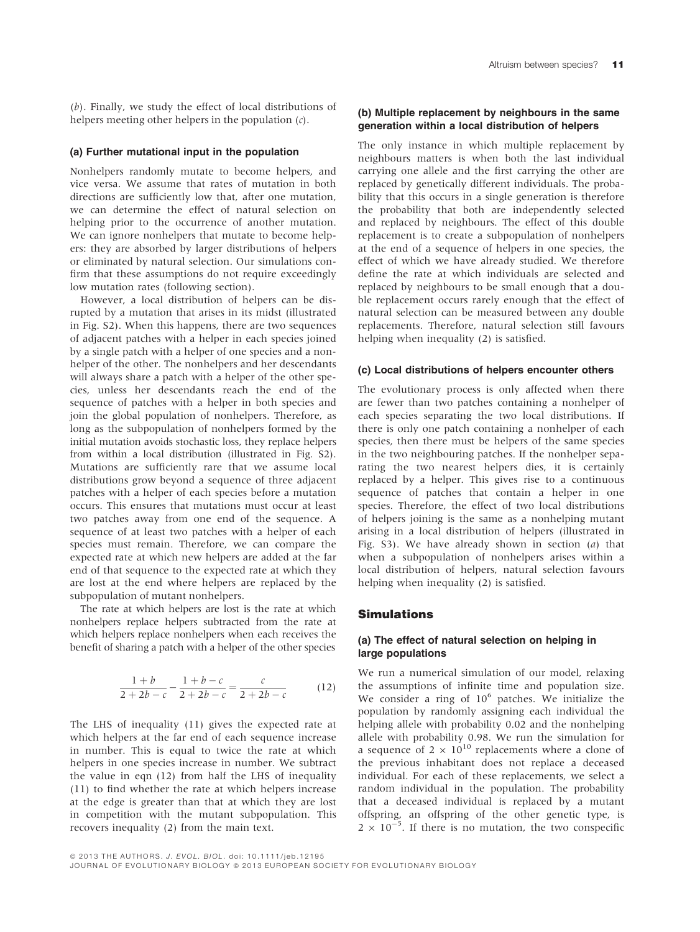(b). Finally, we study the effect of local distributions of helpers meeting other helpers in the population  $(c)$ .

#### (a) Further mutational input in the population

Nonhelpers randomly mutate to become helpers, and vice versa. We assume that rates of mutation in both directions are sufficiently low that, after one mutation, we can determine the effect of natural selection on helping prior to the occurrence of another mutation. We can ignore nonhelpers that mutate to become helpers: they are absorbed by larger distributions of helpers or eliminated by natural selection. Our simulations confirm that these assumptions do not require exceedingly low mutation rates (following section).

However, a local distribution of helpers can be disrupted by a mutation that arises in its midst (illustrated in Fig. S2). When this happens, there are two sequences of adjacent patches with a helper in each species joined by a single patch with a helper of one species and a nonhelper of the other. The nonhelpers and her descendants will always share a patch with a helper of the other species, unless her descendants reach the end of the sequence of patches with a helper in both species and join the global population of nonhelpers. Therefore, as long as the subpopulation of nonhelpers formed by the initial mutation avoids stochastic loss, they replace helpers from within a local distribution (illustrated in Fig. S2). Mutations are sufficiently rare that we assume local distributions grow beyond a sequence of three adjacent patches with a helper of each species before a mutation occurs. This ensures that mutations must occur at least two patches away from one end of the sequence. A sequence of at least two patches with a helper of each species must remain. Therefore, we can compare the expected rate at which new helpers are added at the far end of that sequence to the expected rate at which they are lost at the end where helpers are replaced by the subpopulation of mutant nonhelpers.

The rate at which helpers are lost is the rate at which nonhelpers replace helpers subtracted from the rate at which helpers replace nonhelpers when each receives the benefit of sharing a patch with a helper of the other species

$$
\frac{1+b}{2+2b-c} - \frac{1+b-c}{2+2b-c} = \frac{c}{2+2b-c}
$$
 (12)

The LHS of inequality (11) gives the expected rate at which helpers at the far end of each sequence increase in number. This is equal to twice the rate at which helpers in one species increase in number. We subtract the value in eqn (12) from half the LHS of inequality (11) to find whether the rate at which helpers increase at the edge is greater than that at which they are lost in competition with the mutant subpopulation. This recovers inequality (2) from the main text.

#### (b) Multiple replacement by neighbours in the same generation within a local distribution of helpers

The only instance in which multiple replacement by neighbours matters is when both the last individual carrying one allele and the first carrying the other are replaced by genetically different individuals. The probability that this occurs in a single generation is therefore the probability that both are independently selected and replaced by neighbours. The effect of this double replacement is to create a subpopulation of nonhelpers at the end of a sequence of helpers in one species, the effect of which we have already studied. We therefore define the rate at which individuals are selected and replaced by neighbours to be small enough that a double replacement occurs rarely enough that the effect of natural selection can be measured between any double replacements. Therefore, natural selection still favours helping when inequality (2) is satisfied.

#### (c) Local distributions of helpers encounter others

The evolutionary process is only affected when there are fewer than two patches containing a nonhelper of each species separating the two local distributions. If there is only one patch containing a nonhelper of each species, then there must be helpers of the same species in the two neighbouring patches. If the nonhelper separating the two nearest helpers dies, it is certainly replaced by a helper. This gives rise to a continuous sequence of patches that contain a helper in one species. Therefore, the effect of two local distributions of helpers joining is the same as a nonhelping mutant arising in a local distribution of helpers (illustrated in Fig.  $S3$ ). We have already shown in section (*a*) that when a subpopulation of nonhelpers arises within a local distribution of helpers, natural selection favours helping when inequality (2) is satisfied.

# Simulations

## (a) The effect of natural selection on helping in large populations

We run a numerical simulation of our model, relaxing the assumptions of infinite time and population size. We consider a ring of  $10^6$  patches. We initialize the population by randomly assigning each individual the helping allele with probability 0.02 and the nonhelping allele with probability 0.98. We run the simulation for a sequence of  $2 \times 10^{10}$  replacements where a clone of the previous inhabitant does not replace a deceased individual. For each of these replacements, we select a random individual in the population. The probability that a deceased individual is replaced by a mutant offspring, an offspring of the other genetic type, is  $2 \times 10^{-5}$ . If there is no mutation, the two conspecific

JOURNAL OF EVOLUTIONARY BIOLOGY @ 2013 EUROPEAN SOCIETY FOR EVOLUTIONARY BIOLOGY